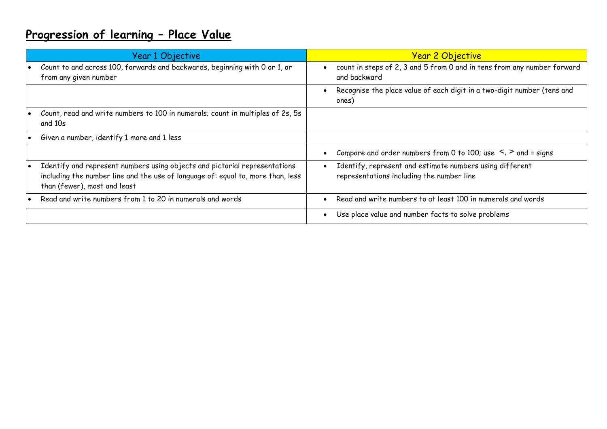# **Progression of learning – Place Value**

|           | Year 1 Objective                                                                                                                                                                              | <u>Year 2 Objective</u>                                                                               |
|-----------|-----------------------------------------------------------------------------------------------------------------------------------------------------------------------------------------------|-------------------------------------------------------------------------------------------------------|
|           | Count to and across 100, forwards and backwards, beginning with 0 or 1, or<br>from any given number                                                                                           | count in steps of 2, 3 and 5 from 0 and in tens from any number forward<br>and backward               |
|           |                                                                                                                                                                                               | Recognise the place value of each digit in a two-digit number (tens and<br>ones)                      |
|           | Count, read and write numbers to 100 in numerals; count in multiples of 2s, 5s<br>and 10s                                                                                                     |                                                                                                       |
| $\bullet$ | Given a number, identify 1 more and 1 less                                                                                                                                                    |                                                                                                       |
|           |                                                                                                                                                                                               | Compare and order numbers from 0 to 100; use $\leq$ , $>$ and = signs                                 |
|           | Identify and represent numbers using objects and pictorial representations<br>including the number line and the use of language of: equal to, more than, less<br>than (fewer), most and least | Identify, represent and estimate numbers using different<br>representations including the number line |
|           | Read and write numbers from 1 to 20 in numerals and words                                                                                                                                     | Read and write numbers to at least 100 in numerals and words                                          |
|           |                                                                                                                                                                                               | Use place value and number facts to solve problems                                                    |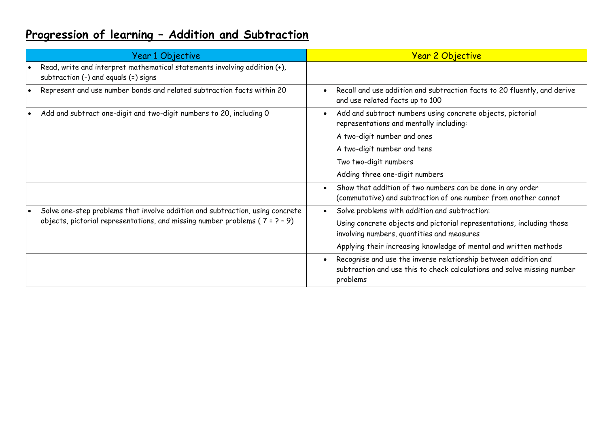## **Progression of learning – Addition and Subtraction**

|  | Year 1 Objective                                                                                                                                                 | <b>Year 2 Objective</b>                                                                                                                                |
|--|------------------------------------------------------------------------------------------------------------------------------------------------------------------|--------------------------------------------------------------------------------------------------------------------------------------------------------|
|  | Read, write and interpret mathematical statements involving addition (+),<br>subtraction (-) and equals (=) signs                                                |                                                                                                                                                        |
|  | Represent and use number bonds and related subtraction facts within 20                                                                                           | Recall and use addition and subtraction facts to 20 fluently, and derive<br>and use related facts up to 100                                            |
|  | Add and subtract one-digit and two-digit numbers to 20, including 0                                                                                              | Add and subtract numbers using concrete objects, pictorial<br>representations and mentally including:                                                  |
|  |                                                                                                                                                                  | A two-digit number and ones                                                                                                                            |
|  |                                                                                                                                                                  | A two-digit number and tens                                                                                                                            |
|  |                                                                                                                                                                  | Two two-digit numbers                                                                                                                                  |
|  |                                                                                                                                                                  | Adding three one-digit numbers                                                                                                                         |
|  |                                                                                                                                                                  | Show that addition of two numbers can be done in any order<br>(commutative) and subtraction of one number from another cannot                          |
|  | Solve one-step problems that involve addition and subtraction, using concrete<br>objects, pictorial representations, and missing number problems ( $7 = 2 - 9$ ) | Solve problems with addition and subtraction:                                                                                                          |
|  |                                                                                                                                                                  | Using concrete objects and pictorial representations, including those<br>involving numbers, quantities and measures                                    |
|  |                                                                                                                                                                  | Applying their increasing knowledge of mental and written methods                                                                                      |
|  |                                                                                                                                                                  | Recognise and use the inverse relationship between addition and<br>subtraction and use this to check calculations and solve missing number<br>problems |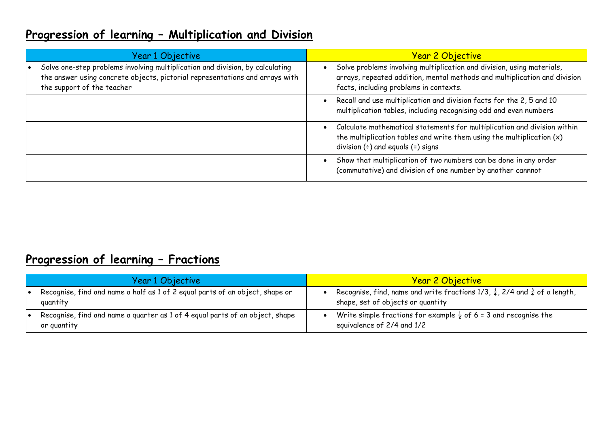### **Progression of learning – Multiplication and Division**

| Year 1 Objective                                                                                                                                                                            | <b>Year 2 Objective</b>                                                                                                                                                                                      |  |
|---------------------------------------------------------------------------------------------------------------------------------------------------------------------------------------------|--------------------------------------------------------------------------------------------------------------------------------------------------------------------------------------------------------------|--|
| Solve one-step problems involving multiplication and division, by calculating<br>the answer using concrete objects, pictorial representations and arrays with<br>the support of the teacher | Solve problems involving multiplication and division, using materials,<br>arrays, repeated addition, mental methods and multiplication and division<br>facts, including problems in contexts.                |  |
|                                                                                                                                                                                             | Recall and use multiplication and division facts for the 2, 5 and 10<br>$\bullet$<br>multiplication tables, including recognising odd and even numbers                                                       |  |
|                                                                                                                                                                                             | Calculate mathematical statements for multiplication and division within<br>$\bullet$<br>the multiplication tables and write them using the multiplication $(x)$<br>division $(\div)$ and equals $(=)$ signs |  |
|                                                                                                                                                                                             | Show that multiplication of two numbers can be done in any order<br>(commutative) and division of one number by another cannnot                                                                              |  |

### **Progression of learning – Fractions**

| Year 1 Objective                                                                            | <b>Year 2 Objective</b>                                                                                                                |
|---------------------------------------------------------------------------------------------|----------------------------------------------------------------------------------------------------------------------------------------|
| Recognise, find and name a half as 1 of 2 equal parts of an object, shape or<br>quantity    | Recognise, find, name and write fractions 1/3, $\frac{1}{4}$ , 2/4 and $\frac{3}{4}$ of a length,<br>shape, set of objects or quantity |
| Recognise, find and name a quarter as 1 of 4 equal parts of an object, shape<br>or quantity | Write simple fractions for example $\frac{1}{2}$ of 6 = 3 and recognise the<br>equivalence of 2/4 and 1/2                              |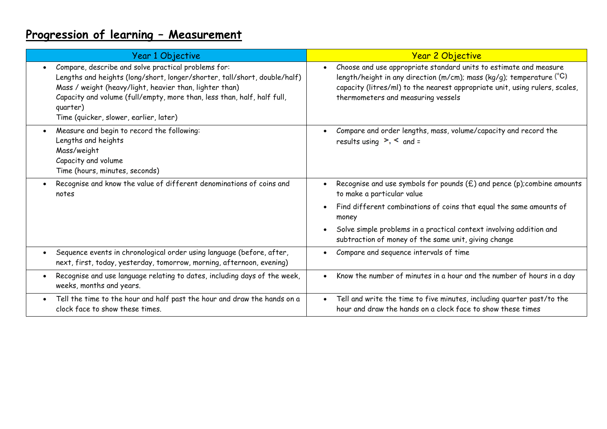# **Progression of learning – Measurement**

| Year 1 Objective                                                                                                                                                                                                                                                                                                             | <b>Year 2 Objective</b>                                                                                                                                                                                                                                            |
|------------------------------------------------------------------------------------------------------------------------------------------------------------------------------------------------------------------------------------------------------------------------------------------------------------------------------|--------------------------------------------------------------------------------------------------------------------------------------------------------------------------------------------------------------------------------------------------------------------|
| Compare, describe and solve practical problems for:<br>Lengths and heights (long/short, longer/shorter, tall/short, double/half)<br>Mass / weight (heavy/light, heavier than, lighter than)<br>Capacity and volume (full/empty, more than, less than, half, half full,<br>quarter)<br>Time (quicker, slower, earlier, later) | Choose and use appropriate standard units to estimate and measure<br>length/height in any direction (m/cm); mass (kg/g); temperature $(°C)$ .<br>capacity (litres/ml) to the nearest appropriate unit, using rulers, scales,<br>thermometers and measuring vessels |
| Measure and begin to record the following:<br>Lengths and heights<br>Mass/weight<br>Capacity and volume<br>Time (hours, minutes, seconds)                                                                                                                                                                                    | Compare and order lengths, mass, volume/capacity and record the<br>results using $\ge$ , $\le$ and =                                                                                                                                                               |
| Recognise and know the value of different denominations of coins and<br>notes                                                                                                                                                                                                                                                | Recognise and use symbols for pounds $(E)$ and pence (p); combine amounts<br>to make a particular value                                                                                                                                                            |
|                                                                                                                                                                                                                                                                                                                              | Find different combinations of coins that equal the same amounts of<br>$\bullet$<br>money                                                                                                                                                                          |
|                                                                                                                                                                                                                                                                                                                              | Solve simple problems in a practical context involving addition and<br>subtraction of money of the same unit, giving change                                                                                                                                        |
| Sequence events in chronological order using language (before, after,<br>$\bullet$<br>next, first, today, yesterday, tomorrow, morning, afternoon, evening)                                                                                                                                                                  | Compare and sequence intervals of time                                                                                                                                                                                                                             |
| Recognise and use language relating to dates, including days of the week,<br>$\bullet$<br>weeks, months and years.                                                                                                                                                                                                           | Know the number of minutes in a hour and the number of hours in a day                                                                                                                                                                                              |
| Tell the time to the hour and half past the hour and draw the hands on a<br>$\bullet$<br>clock face to show these times.                                                                                                                                                                                                     | Tell and write the time to five minutes, including quarter past/to the<br>$\bullet$<br>hour and draw the hands on a clock face to show these times                                                                                                                 |